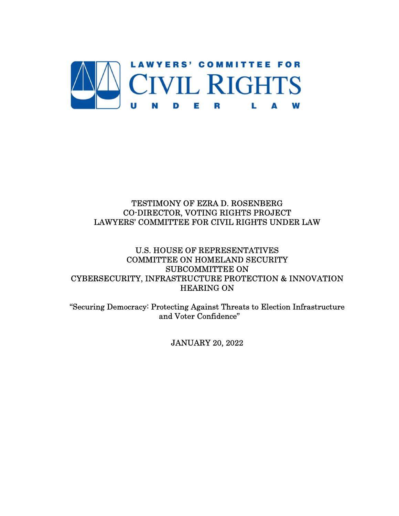

# TESTIMONY OF EZRA D. ROSENBERG CO-DIRECTOR, VOTING RIGHTS PROJECT LAWYERS' COMMITTEE FOR CIVIL RIGHTS UNDER LAW

# U.S. HOUSE OF REPRESENTATIVES COMMITTEE ON HOMELAND SECURITY SUBCOMMITTEE ON CYBERSECURITY, INFRASTRUCTURE PROTECTION & INNOVATION HEARING ON

"Securing Democracy: Protecting Against Threats to Election Infrastructure and Voter Confidence"

JANUARY 20, 2022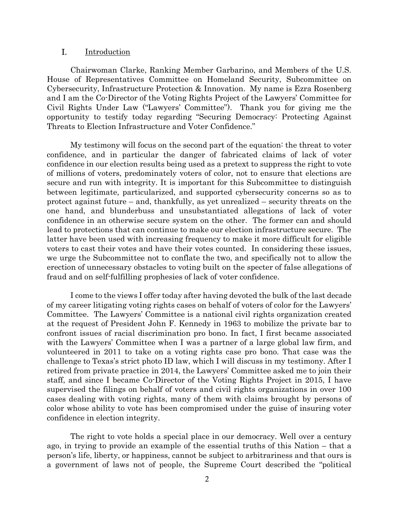#### I. Introduction

Chairwoman Clarke, Ranking Member Garbarino, and Members of the U.S. House of Representatives Committee on Homeland Security, Subcommittee on Cybersecurity, Infrastructure Protection & Innovation. My name is Ezra Rosenberg and I am the Co-Director of the Voting Rights Project of the Lawyers' Committee for Civil Rights Under Law ("Lawyers' Committee"). Thank you for giving me the opportunity to testify today regarding "Securing Democracy: Protecting Against Threats to Election Infrastructure and Voter Confidence."

My testimony will focus on the second part of the equation: the threat to voter confidence, and in particular the danger of fabricated claims of lack of voter confidence in our election results being used as a pretext to suppress the right to vote of millions of voters, predominately voters of color, not to ensure that elections are secure and run with integrity. It is important for this Subcommittee to distinguish between legitimate, particularized, and supported cybersecurity concerns so as to protect against future – and, thankfully, as yet unrealized – security threats on the one hand, and blunderbuss and unsubstantiated allegations of lack of voter confidence in an otherwise secure system on the other. The former can and should lead to protections that can continue to make our election infrastructure secure. The latter have been used with increasing frequency to make it more difficult for eligible voters to cast their votes and have their votes counted. In considering these issues, we urge the Subcommittee not to conflate the two, and specifically not to allow the erection of unnecessary obstacles to voting built on the specter of false allegations of fraud and on self-fulfilling prophesies of lack of voter confidence.

I come to the views I offer today after having devoted the bulk of the last decade of my career litigating voting rights cases on behalf of voters of color for the Lawyers' Committee. The Lawyers' Committee is a national civil rights organization created at the request of President John F. Kennedy in 1963 to mobilize the private bar to confront issues of racial discrimination pro bono. In fact, I first became associated with the Lawyers' Committee when I was a partner of a large global law firm, and volunteered in 2011 to take on a voting rights case pro bono. That case was the challenge to Texas's strict photo ID law, which I will discuss in my testimony. After I retired from private practice in 2014, the Lawyers' Committee asked me to join their staff, and since I became Co-Director of the Voting Rights Project in 2015, I have supervised the filings on behalf of voters and civil rights organizations in over 100 cases dealing with voting rights, many of them with claims brought by persons of color whose ability to vote has been compromised under the guise of insuring voter confidence in election integrity.

The right to vote holds a special place in our democracy. Well over a century ago, in trying to provide an example of the essential truths of this Nation – that a person's life, liberty, or happiness, cannot be subject to arbitrariness and that ours is a government of laws not of people, the Supreme Court described the "political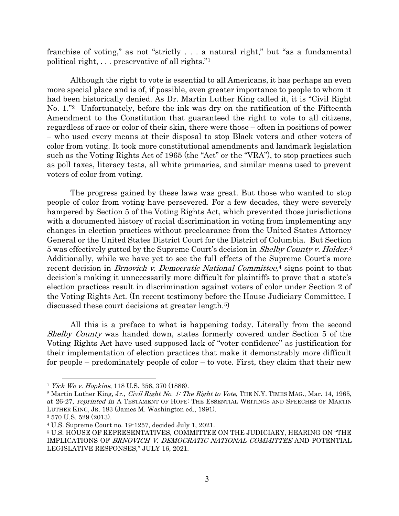franchise of voting," as not "strictly . . . a natural right," but "as a fundamental political right, . . . preservative of all rights."<sup>1</sup>

Although the right to vote is essential to all Americans, it has perhaps an even more special place and is of, if possible, even greater importance to people to whom it had been historically denied. As Dr. Martin Luther King called it, it is "Civil Right No. 1."2 Unfortunately, before the ink was dry on the ratification of the Fifteenth Amendment to the Constitution that guaranteed the right to vote to all citizens, regardless of race or color of their skin, there were those – often in positions of power – who used every means at their disposal to stop Black voters and other voters of color from voting. It took more constitutional amendments and landmark legislation such as the Voting Rights Act of 1965 (the "Act" or the "VRA"), to stop practices such as poll taxes, literacy tests, all white primaries, and similar means used to prevent voters of color from voting.

The progress gained by these laws was great. But those who wanted to stop people of color from voting have persevered. For a few decades, they were severely hampered by Section 5 of the Voting Rights Act, which prevented those jurisdictions with a documented history of racial discrimination in voting from implementing any changes in election practices without preclearance from the United States Attorney General or the United States District Court for the District of Columbia. But Section 5 was effectively gutted by the Supreme Court's decision in Shelby County v. Holder.<sup>3</sup> Additionally, while we have yet to see the full effects of the Supreme Court's more recent decision in *Brnovich v. Democratic National Committee*,<sup>4</sup> signs point to that decision's making it unnecessarily more difficult for plaintiffs to prove that a state's election practices result in discrimination against voters of color under Section 2 of the Voting Rights Act. (In recent testimony before the House Judiciary Committee, I discussed these court decisions at greater length.<sup>5</sup>)

All this is a preface to what is happening today. Literally from the second Shelby County was handed down, states formerly covered under Section 5 of the Voting Rights Act have used supposed lack of "voter confidence" as justification for their implementation of election practices that make it demonstrably more difficult for people – predominately people of color – to vote. First, they claim that their new

<sup>1</sup> Yick Wo v. Hopkins, 118 U.S. 356, 370 (1886).

<sup>&</sup>lt;sup>2</sup> Martin Luther King, Jr., *Civil Right No. 1: The Right to Vote*, THE N.Y. TIMES MAG., Mar. 14, 1965, at 26-27, reprinted in A TESTAMENT OF HOPE: THE ESSENTIAL WRITINGS AND SPEECHES OF MARTIN LUTHER KING, JR. 183 (James M. Washington ed., 1991).

<sup>3</sup> 570 U.S. 529 (2013).

<sup>4</sup> U.S. Supreme Court no. 19-1257, decided July 1, 2021.

<sup>5</sup> U.S. HOUSE OF REPRESENTATIVES, COMMITTEE ON THE JUDICIARY, HEARING ON "THE IMPLICATIONS OF BRNOVICH V. DEMOCRATIC NATIONAL COMMITTEE AND POTENTIAL LEGISLATIVE RESPONSES," JULY 16, 2021.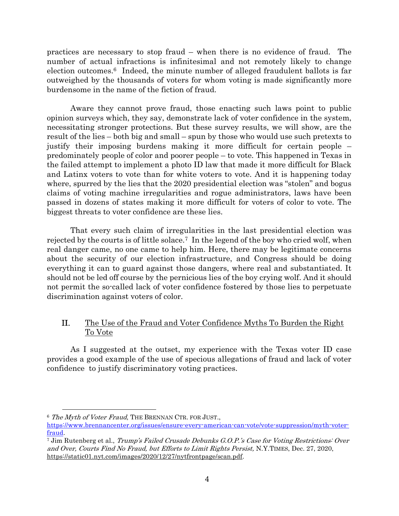practices are necessary to stop fraud – when there is no evidence of fraud. The number of actual infractions is infinitesimal and not remotely likely to change election outcomes.6 Indeed, the minute number of alleged fraudulent ballots is far outweighed by the thousands of voters for whom voting is made significantly more burdensome in the name of the fiction of fraud.

Aware they cannot prove fraud, those enacting such laws point to public opinion surveys which, they say, demonstrate lack of voter confidence in the system, necessitating stronger protections. But these survey results, we will show, are the result of the lies – both big and small – spun by those who would use such pretexts to justify their imposing burdens making it more difficult for certain people – predominately people of color and poorer people – to vote. This happened in Texas in the failed attempt to implement a photo ID law that made it more difficult for Black and Latinx voters to vote than for white voters to vote. And it is happening today where, spurred by the lies that the 2020 presidential election was "stolen" and bogus claims of voting machine irregularities and rogue administrators, laws have been passed in dozens of states making it more difficult for voters of color to vote. The biggest threats to voter confidence are these lies.

That every such claim of irregularities in the last presidential election was rejected by the courts is of little solace.7 In the legend of the boy who cried wolf, when real danger came, no one came to help him. Here, there may be legitimate concerns about the security of our election infrastructure, and Congress should be doing everything it can to guard against those dangers, where real and substantiated. It should not be led off course by the pernicious lies of the boy crying wolf. And it should not permit the so-called lack of voter confidence fostered by those lies to perpetuate discrimination against voters of color.

# II. The Use of the Fraud and Voter Confidence Myths To Burden the Right To Vote

As I suggested at the outset, my experience with the Texas voter ID case provides a good example of the use of specious allegations of fraud and lack of voter confidence to justify discriminatory voting practices.

<sup>&</sup>lt;sup>6</sup> The Myth of Voter Fraud, THE BRENNAN CTR. FOR JUST.,

https://www.brennancenter.org/issues/ensure-every-american-can-vote/vote-suppression/myth-voterfraud.

<sup>7</sup> Jim Rutenberg et al., Trump's Failed Crusade Debunks G.O.P.'s Case for Voting Restrictions: Over and Over, Courts Find No Fraud, but Efforts to Limit Rights Persist, N.Y.TIMES, Dec. 27, 2020, https://static01.nyt.com/images/2020/12/27/nytfrontpage/scan.pdf.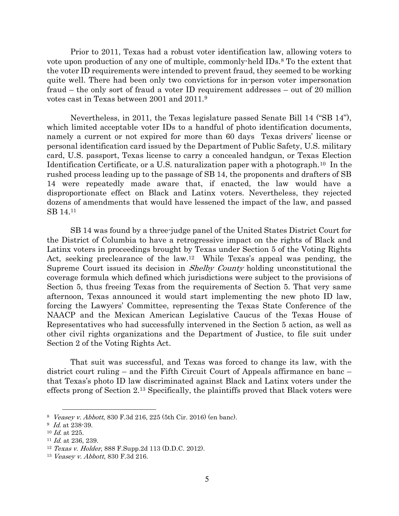Prior to 2011, Texas had a robust voter identification law, allowing voters to vote upon production of any one of multiple, commonly-held IDs.8 To the extent that the voter ID requirements were intended to prevent fraud, they seemed to be working quite well. There had been only two convictions for in-person voter impersonation fraud – the only sort of fraud a voter ID requirement addresses – out of 20 million votes cast in Texas between 2001 and 2011.<sup>9</sup>

Nevertheless, in 2011, the Texas legislature passed Senate Bill 14 ("SB 14"), which limited acceptable voter IDs to a handful of photo identification documents, namely a current or not expired for more than 60 days Texas drivers' license or personal identification card issued by the Department of Public Safety, U.S. military card, U.S. passport, Texas license to carry a concealed handgun, or Texas Election Identification Certificate, or a U.S. naturalization paper with a photograph.10 In the rushed process leading up to the passage of SB 14, the proponents and drafters of SB 14 were repeatedly made aware that, if enacted, the law would have a disproportionate effect on Black and Latinx voters. Nevertheless, they rejected dozens of amendments that would have lessened the impact of the law, and passed SB 14.<sup>11</sup>

SB 14 was found by a three-judge panel of the United States District Court for the District of Columbia to have a retrogressive impact on the rights of Black and Latinx voters in proceedings brought by Texas under Section 5 of the Voting Rights Act, seeking preclearance of the law.12 While Texas's appeal was pending, the Supreme Court issued its decision in Shelby County holding unconstitutional the coverage formula which defined which jurisdictions were subject to the provisions of Section 5, thus freeing Texas from the requirements of Section 5. That very same afternoon, Texas announced it would start implementing the new photo ID law, forcing the Lawyers' Committee, representing the Texas State Conference of the NAACP and the Mexican American Legislative Caucus of the Texas House of Representatives who had successfully intervened in the Section 5 action, as well as other civil rights organizations and the Department of Justice, to file suit under Section 2 of the Voting Rights Act.

That suit was successful, and Texas was forced to change its law, with the district court ruling – and the Fifth Circuit Court of Appeals affirmance en banc – that Texas's photo ID law discriminated against Black and Latinx voters under the effects prong of Section 2.13 Specifically, the plaintiffs proved that Black voters were

<sup>8</sup> Veasey v. Abbott, 830 F.3d 216, 225 (5th Cir. 2016) (en banc).

 $9$  *Id.* at 238-39.

<sup>10</sup> Id. at 225.

 $11$  *Id.* at 236, 239.

 $12$  Texas v. Holder, 888 F.Supp. 2d 113 (D.D.C. 2012).

<sup>13</sup> Veasey v. Abbott, 830 F.3d 216.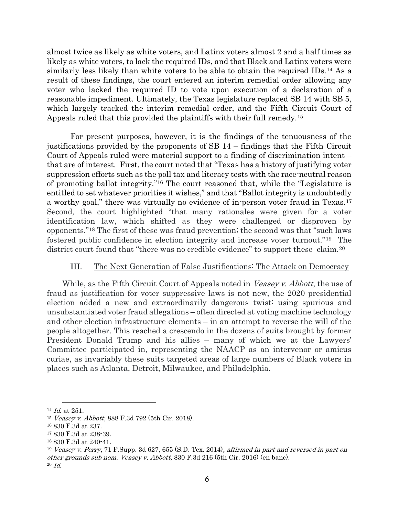almost twice as likely as white voters, and Latinx voters almost 2 and a half times as likely as white voters, to lack the required IDs, and that Black and Latinx voters were similarly less likely than white voters to be able to obtain the required IDs.14 As a result of these findings, the court entered an interim remedial order allowing any voter who lacked the required ID to vote upon execution of a declaration of a reasonable impediment. Ultimately, the Texas legislature replaced SB 14 with SB 5, which largely tracked the interim remedial order, and the Fifth Circuit Court of Appeals ruled that this provided the plaintiffs with their full remedy.<sup>15</sup>

For present purposes, however, it is the findings of the tenuousness of the justifications provided by the proponents of SB 14 – findings that the Fifth Circuit Court of Appeals ruled were material support to a finding of discrimination intent – that are of interest. First, the court noted that "Texas has a history of justifying voter suppression efforts such as the poll tax and literacy tests with the race-neutral reason of promoting ballot integrity."16 The court reasoned that, while the "Legislature is entitled to set whatever priorities it wishes," and that "Ballot integrity is undoubtedly a worthy goal," there was virtually no evidence of in-person voter fraud in Texas.<sup>17</sup> Second, the court highlighted "that many rationales were given for a voter identification law, which shifted as they were challenged or disproven by opponents."18 The first of these was fraud prevention; the second was that "such laws fostered public confidence in election integrity and increase voter turnout."19 The district court found that "there was no credible evidence" to support these claim.<sup>20</sup>

### III. The Next Generation of False Justifications: The Attack on Democracy

While, as the Fifth Circuit Court of Appeals noted in Veasey v. Abbott, the use of fraud as justification for voter suppressive laws is not new, the 2020 presidential election added a new and extraordinarily dangerous twist: using spurious and unsubstantiated voter fraud allegations – often directed at voting machine technology and other election infrastructure elements – in an attempt to reverse the will of the people altogether. This reached a crescendo in the dozens of suits brought by former President Donald Trump and his allies – many of which we at the Lawyers' Committee participated in, representing the NAACP as an intervenor or amicus curiae, as invariably these suits targeted areas of large numbers of Black voters in places such as Atlanta, Detroit, Milwaukee, and Philadelphia.

 $\overline{a}$  $14$  *Id.* at 251.

<sup>15</sup> Veasey v. Abbott, 888 F.3d 792 (5th Cir. 2018).

<sup>16</sup> 830 F.3d at 237.

<sup>17</sup> 830 F.3d at 238-39.

<sup>18</sup> 830 F.3d at 240-41.

<sup>19</sup> Veasey v. Perry, 71 F.Supp. 3d 627, 655 (S.D. Tex. 2014), affirmed in part and reversed in part on other grounds sub nom. Veasey v. Abbott, 830 F.3d 216 (5th Cir. 2016) (en banc). 20 Id.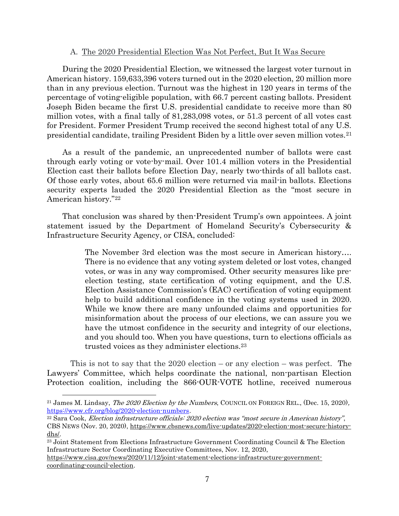### A. The 2020 Presidential Election Was Not Perfect, But It Was Secure

During the 2020 Presidential Election, we witnessed the largest voter turnout in American history. 159,633,396 voters turned out in the 2020 election, 20 million more than in any previous election. Turnout was the highest in 120 years in terms of the percentage of voting-eligible population, with 66.7 percent casting ballots. President Joseph Biden became the first U.S. presidential candidate to receive more than 80 million votes, with a final tally of 81,283,098 votes, or 51.3 percent of all votes cast for President. Former President Trump received the second highest total of any U.S. presidential candidate, trailing President Biden by a little over seven million votes.<sup>21</sup>

As a result of the pandemic, an unprecedented number of ballots were cast through early voting or vote-by-mail. Over 101.4 million voters in the Presidential Election cast their ballots before Election Day, nearly two-thirds of all ballots cast. Of those early votes, about 65.6 million were returned via mail-in ballots. Elections security experts lauded the 2020 Presidential Election as the "most secure in American history."<sup>22</sup>

That conclusion was shared by then-President Trump's own appointees. A joint statement issued by the Department of Homeland Security's Cybersecurity & Infrastructure Security Agency, or CISA, concluded:

> The November 3rd election was the most secure in American history…. There is no evidence that any voting system deleted or lost votes, changed votes, or was in any way compromised. Other security measures like preelection testing, state certification of voting equipment, and the U.S. Election Assistance Commission's (EAC) certification of voting equipment help to build additional confidence in the voting systems used in 2020. While we know there are many unfounded claims and opportunities for misinformation about the process of our elections, we can assure you we have the utmost confidence in the security and integrity of our elections, and you should too. When you have questions, turn to elections officials as trusted voices as they administer elections.<sup>23</sup>

This is not to say that the 2020 election – or any election – was perfect. The Lawyers' Committee, which helps coordinate the national, non-partisan Election Protection coalition, including the 866-OUR-VOTE hotline, received numerous

<sup>&</sup>lt;sup>21</sup> James M. Lindsay, *The 2020 Election by the Numbers*, COUNCIL ON FOREIGN REL., (Dec. 15, 2020), https://www.cfr.org/blog/2020-election-numbers.

<sup>22</sup> Sara Cook, Election infrastructure officials: 2020 election was "most secure in American history", CBS NEWS (Nov. 20, 2020), https://www.cbsnews.com/live-updates/2020-election-most-secure-historydhs/.

<sup>23</sup> Joint Statement from Elections Infrastructure Government Coordinating Council & The Election Infrastructure Sector Coordinating Executive Committees, Nov. 12, 2020,

https://www.cisa.gov/news/2020/11/12/joint-statement-elections-infrastructure-governmentcoordinating-council-election.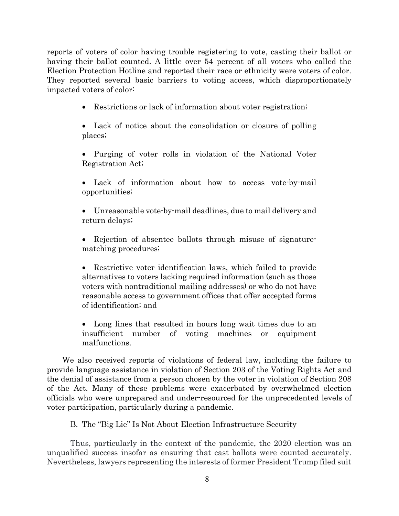reports of voters of color having trouble registering to vote, casting their ballot or having their ballot counted. A little over 54 percent of all voters who called the Election Protection Hotline and reported their race or ethnicity were voters of color. They reported several basic barriers to voting access, which disproportionately impacted voters of color:

• Restrictions or lack of information about voter registration;

 Lack of notice about the consolidation or closure of polling places;

 Purging of voter rolls in violation of the National Voter Registration Act;

 Lack of information about how to access vote-by-mail opportunities;

 Unreasonable vote-by-mail deadlines, due to mail delivery and return delays;

• Rejection of absentee ballots through misuse of signaturematching procedures;

• Restrictive voter identification laws, which failed to provide alternatives to voters lacking required information (such as those voters with nontraditional mailing addresses) or who do not have reasonable access to government offices that offer accepted forms of identification; and

 Long lines that resulted in hours long wait times due to an insufficient number of voting machines or equipment malfunctions.

We also received reports of violations of federal law, including the failure to provide language assistance in violation of Section 203 of the Voting Rights Act and the denial of assistance from a person chosen by the voter in violation of Section 208 of the Act. Many of these problems were exacerbated by overwhelmed election officials who were unprepared and under-resourced for the unprecedented levels of voter participation, particularly during a pandemic.

### B. The "Big Lie" Is Not About Election Infrastructure Security

Thus, particularly in the context of the pandemic, the 2020 election was an unqualified success insofar as ensuring that cast ballots were counted accurately. Nevertheless, lawyers representing the interests of former President Trump filed suit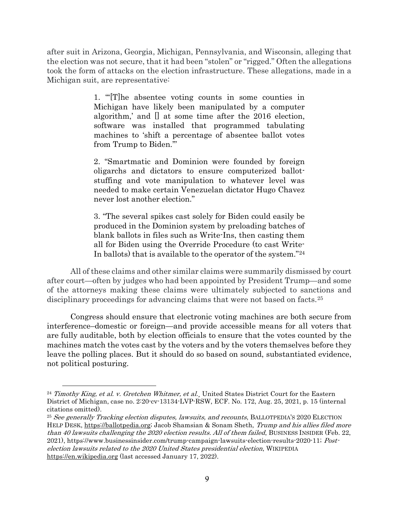after suit in Arizona, Georgia, Michigan, Pennsylvania, and Wisconsin, alleging that the election was not secure, that it had been "stolen" or "rigged." Often the allegations took the form of attacks on the election infrastructure. These allegations, made in a Michigan suit, are representative:

> 1. "'[T]he absentee voting counts in some counties in Michigan have likely been manipulated by a computer algorithm,' and [] at some time after the 2016 election, software was installed that programmed tabulating machines to 'shift a percentage of absentee ballot votes from Trump to Biden.'"

> 2. "Smartmatic and Dominion were founded by foreign oligarchs and dictators to ensure computerized ballotstuffing and vote manipulation to whatever level was needed to make certain Venezuelan dictator Hugo Chavez never lost another election."

> 3. "The several spikes cast solely for Biden could easily be produced in the Dominion system by preloading batches of blank ballots in files such as Write-Ins, then casting them all for Biden using the Override Procedure (to cast Write-In ballots) that is available to the operator of the system."<sup>24</sup>

All of these claims and other similar claims were summarily dismissed by court after court—often by judges who had been appointed by President Trump—and some of the attorneys making these claims were ultimately subjected to sanctions and disciplinary proceedings for advancing claims that were not based on facts.<sup>25</sup>

Congress should ensure that electronic voting machines are both secure from interference–domestic or foreign—and provide accessible means for all voters that are fully auditable, both by election officials to ensure that the votes counted by the machines match the votes cast by the voters and by the voters themselves before they leave the polling places. But it should do so based on sound, substantiated evidence, not political posturing.

 $^{24}$  Timothy King, et al. v. Gretchen Whitmer, et al. United States District Court for the Eastern District of Michigan, case no. 2:20-cv-13134-LVP-RSW, ECF. No. 172, Aug. 25, 2021, p. 15 (internal citations omitted).

<sup>&</sup>lt;sup>25</sup> See generally Tracking election disputes, lawsuits, and recounts, BALLOTPEDIA'S 2020 ELECTION HELP DESK, https://ballotpedia.org; Jacob Shamsian & Sonam Sheth, Trump and his allies filed more than 40 lawsuits challenging the 2020 election results. All of them failed, BUSINESS INSIDER (Feb. 22, 2021), https://www.businessinsider.com/trump-campaign-lawsuits-election-results-2020-11; Postelection lawsuits related to the 2020 United States presidential election, WIKIPEDIA https://en.wikipedia.org (last accessed January 17, 2022).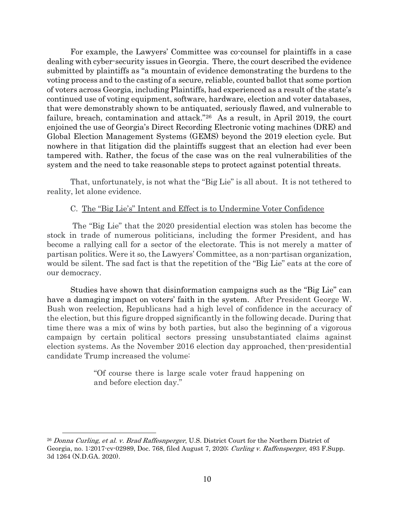For example, the Lawyers' Committee was co-counsel for plaintiffs in a case dealing with cyber-security issues in Georgia. There, the court described the evidence submitted by plaintiffs as "a mountain of evidence demonstrating the burdens to the voting process and to the casting of a secure, reliable, counted ballot that some portion of voters across Georgia, including Plaintiffs, had experienced as a result of the state's continued use of voting equipment, software, hardware, election and voter databases, that were demonstrably shown to be antiquated, seriously flawed, and vulnerable to failure, breach, contamination and attack."26 As a result, in April 2019, the court enjoined the use of Georgia's Direct Recording Electronic voting machines (DRE) and Global Election Management Systems (GEMS) beyond the 2019 election cycle. But nowhere in that litigation did the plaintiffs suggest that an election had ever been tampered with. Rather, the focus of the case was on the real vulnerabilities of the system and the need to take reasonable steps to protect against potential threats.

That, unfortunately, is not what the "Big Lie" is all about. It is not tethered to reality, let alone evidence.

#### C. The "Big Lie's" Intent and Effect is to Undermine Voter Confidence

 The "Big Lie" that the 2020 presidential election was stolen has become the stock in trade of numerous politicians, including the former President, and has become a rallying call for a sector of the electorate. This is not merely a matter of partisan politics. Were it so, the Lawyers' Committee, as a non-partisan organization, would be silent. The sad fact is that the repetition of the "Big Lie" eats at the core of our democracy.

Studies have shown that disinformation campaigns such as the "Big Lie" can have a damaging impact on voters' faith in the system. After President George W. Bush won reelection, Republicans had a high level of confidence in the accuracy of the election, but this figure dropped significantly in the following decade. During that time there was a mix of wins by both parties, but also the beginning of a vigorous campaign by certain political sectors pressing unsubstantiated claims against election systems. As the November 2016 election day approached, then-presidential candidate Trump increased the volume:

> "Of course there is large scale voter fraud happening on and before election day."

<sup>&</sup>lt;sup>26</sup> Donna Curling, et al. v. Brad Raffesnperger, U.S. District Court for the Northern District of Georgia, no. 1:2017-cv-02989, Doc. 768, filed August 7, 2020; Curling v. Raffensperger, 493 F.Supp. 3d 1264 (N.D.GA. 2020).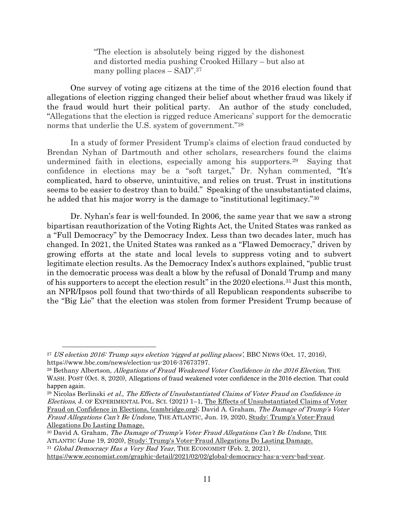"The election is absolutely being rigged by the dishonest and distorted media pushing Crooked Hillary – but also at many polling places – SAD".<sup>27</sup>

One survey of voting age citizens at the time of the 2016 election found that allegations of election rigging changed their belief about whether fraud was likely if the fraud would hurt their political party. An author of the study concluded, "Allegations that the election is rigged reduce Americans' support for the democratic norms that underlie the U.S. system of government."<sup>28</sup>

In a study of former President Trump's claims of election fraud conducted by Brendan Nyhan of Dartmouth and other scholars, researchers found the claims undermined faith in elections, especially among his supporters.<sup>29</sup> Saying that confidence in elections may be a "soft target," Dr. Nyhan commented, "It's complicated, hard to observe, unintuitive, and relies on trust. Trust in institutions seems to be easier to destroy than to build." Speaking of the unsubstantiated claims, he added that his major worry is the damage to "institutional legitimacy."<sup>30</sup>

Dr. Nyhan's fear is well-founded. In 2006, the same year that we saw a strong bipartisan reauthorization of the Voting Rights Act, the United States was ranked as a "Full Democracy" by the Democracy Index. Less than two decades later, much has changed. In 2021, the United States was ranked as a "Flawed Democracy," driven by growing efforts at the state and local levels to suppress voting and to subvert legitimate election results. As the Democracy Index's authors explained, "public trust in the democratic process was dealt a blow by the refusal of Donald Trump and many of his supporters to accept the election result" in the 2020 elections.31 Just this month, an NPR/Ipsos poll found that two-thirds of all Republican respondents subscribe to the "Big Lie" that the election was stolen from former President Trump because of

<sup>27</sup> US election 2016: Trump says election 'rigged at polling places', BBC NEWS (Oct. 17, 2016), https://www.bbc.com/news/election-us-2016-37673797.

<sup>&</sup>lt;sup>28</sup> Bethany Albertson, Allegations of Fraud Weakened Voter Confidence in the 2016 Election, THE WASH. POST (Oct. 8, 2020), Allegations of fraud weakened voter confidence in the 2016 election. That could happen again.

 $29$  Nicolas Berlinski et al., The Effects of Unsubstantiated Claims of Voter Fraud on Confidence in Elections, J. OF EXPERIMENTAL POL. SCI. (2021) 1–1, The Effects of Unsubstantiated Claims of Voter Fraud on Confidence in Elections, (cambridge.org); David A. Graham, The Damage of Trump's Voter Fraud Allegations Can't Be Undone, THE ATLANTIC, Jun. 19, 2020, Study: Trump's Voter-Fraud Allegations Do Lasting Damage.

<sup>&</sup>lt;sup>30</sup> David A. Graham, *The Damage of Trump's Voter Fraud Allegations Can't Be Undone*, THE ATLANTIC (June 19, 2020), Study: Trump's Voter-Fraud Allegations Do Lasting Damage. <sup>31</sup> Global Democracy Has a Very Bad Year, THE ECONOMIST (Feb. 2, 2021),

https://www.economist.com/graphic-detail/2021/02/02/global-democracy-has-a-very-bad-year.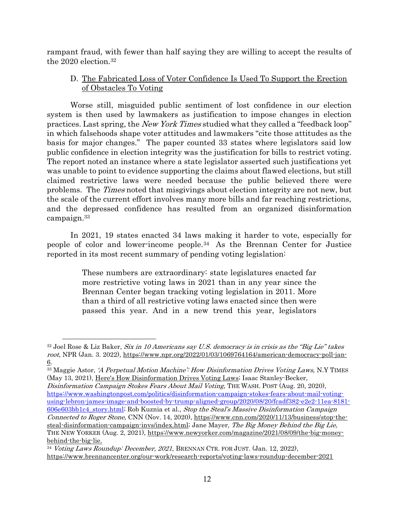rampant fraud, with fewer than half saying they are willing to accept the results of the 2020 election.<sup>32</sup>

# D. The Fabricated Loss of Voter Confidence Is Used To Support the Erection of Obstacles To Voting

Worse still, misguided public sentiment of lost confidence in our election system is then used by lawmakers as justification to impose changes in election practices. Last spring, the New York Times studied what they called a "feedback loop" in which falsehoods shape voter attitudes and lawmakers "cite those attitudes as the basis for major changes." The paper counted 33 states where legislators said low public confidence in election integrity was the justification for bills to restrict voting. The report noted an instance where a state legislator asserted such justifications yet was unable to point to evidence supporting the claims about flawed elections, but still claimed restrictive laws were needed because the public believed there were problems. The Times noted that misgivings about election integrity are not new, but the scale of the current effort involves many more bills and far reaching restrictions, and the depressed confidence has resulted from an organized disinformation campaign.<sup>33</sup>

In 2021, 19 states enacted 34 laws making it harder to vote, especially for people of color and lower-income people.34 As the Brennan Center for Justice reported in its most recent summary of pending voting legislation:

> These numbers are extraordinary: state legislatures enacted far more restrictive voting laws in 2021 than in any year since the Brennan Center began tracking voting legislation in 2011. More than a third of all restrictive voting laws enacted since then were passed this year. And in a new trend this year, legislators

 $\overline{a}$ 

<sup>33</sup> Maggie Astor, 'A Perpetual Motion Machine': How Disinformation Drives Voting Laws, N.Y TIMES (May 13, 2021), Here's How Disinformation Drives Voting Laws; Isaac Stanley-Becker,

Disinformation Campaign Stokes Fears About Mail Voting, THE WASH. POST (Aug. 20, 2020), https://www.washingtonpost.com/politics/disinformation-campaign-stokes-fears-about-mail-votingusing-lebron-james-image-and-boosted-by-trump-aligned-group/2020/08/20/fcadf382-e2e2-11ea-8181- 606e603bb1c4\_story.html; Rob Kuznia et al., Stop the Steal's Massive Disinformation Campaign Connected to Roger Stone, CNN (Nov. 14, 2020), https://www.cnn.com/2020/11/13/business/stop-thesteal-disinformation-campaign-invs/index.html; Jane Mayer, The Big Money Behind the Big Lie, THE NEW YORKER (Aug. 2, 2021), https://www.newyorker.com/magazine/2021/08/09/the-big-moneybehind-the-big-lie.

 $32$  Joel Rose & Liz Baker, Six in 10 Americans say U.S. democracy is in crisis as the "Big Lie" takes root, NPR (Jan. 3. 2022), https://www.npr.org/2022/01/03/1069764164/american-democracy-poll-jan-6.

<sup>&</sup>lt;sup>34</sup> Voting Laws Roundup: December, 2021, BRENNAN CTR. FOR JUST. (Jan. 12, 2022), https://www.brennancenter.org/our-work/research-reports/voting-laws-roundup-december-2021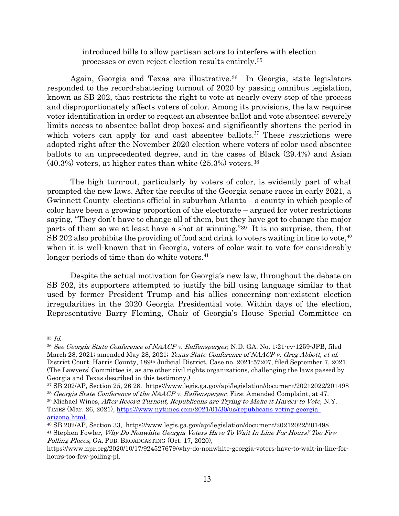introduced bills to allow partisan actors to interfere with election processes or even reject election results entirely.<sup>35</sup>

Again, Georgia and Texas are illustrative.<sup>36</sup> In Georgia, state legislators responded to the record-shattering turnout of 2020 by passing omnibus legislation, known as SB 202, that restricts the right to vote at nearly every step of the process and disproportionately affects voters of color. Among its provisions, the law requires voter identification in order to request an absentee ballot and vote absentee; severely limits access to absentee ballot drop boxes; and significantly shortens the period in which voters can apply for and cast absentee ballots.<sup>37</sup> These restrictions were adopted right after the November 2020 election where voters of color used absentee ballots to an unprecedented degree, and in the cases of Black (29.4%) and Asian (40.3%) voters, at higher rates than white (25.3%) voters.<sup>38</sup>

The high turn-out, particularly by voters of color, is evidently part of what prompted the new laws. After the results of the Georgia senate races in early 2021, a Gwinnett County elections official in suburban Atlanta – a county in which people of color have been a growing proportion of the electorate – argued for voter restrictions saying, "They don't have to change all of them, but they have got to change the major parts of them so we at least have a shot at winning."39 It is no surprise, then, that  $SB 202$  also prohibits the providing of food and drink to voters waiting in line to vote,  $40$ when it is well-known that in Georgia, voters of color wait to vote for considerably longer periods of time than do white voters.<sup>41</sup>

Despite the actual motivation for Georgia's new law, throughout the debate on SB 202, its supporters attempted to justify the bill using language similar to that used by former President Trump and his allies concerning non-existent election irregularities in the 2020 Georgia Presidential vote. Within days of the election, Representative Barry Fleming, Chair of Georgia's House Special Committee on

 $35$  *Id.* 

<sup>36</sup> See Georgia State Conference of NAACP v. Raffensperger, N.D. GA. No. 1:21-cv-1259-JPB, filed March 28, 2021; amended May 28, 2021; Texas State Conference of NAACP v. Greg Abbott, et al. District Court, Harris County, 189th Judicial District, Case no. 2021-57207, filed September 7, 2021. (The Lawyers' Committee is, as are other civil rights organizations, challenging the laws passed by Georgia and Texas described in this testimony.)

<sup>37</sup> SB 202/AP, Section 25, 26 28. https://www.legis.ga.gov/api/legislation/document/20212022/201498 <sup>38</sup> Georgia State Conference of the NAACP v. Raffensperger, First Amended Complaint, at 47.

<sup>&</sup>lt;sup>39</sup> Michael Wines, After Record Turnout, Republicans are Trying to Make it Harder to Vote, N.Y. TIMES (Mar. 26, 2021), https://www.nytimes.com/2021/01/30/us/republicans-voting-georgiaarizona.html.

<sup>40</sup> SB 202/AP, Section 33, https://www.legis.ga.gov/api/legislation/document/20212022/201498 <sup>41</sup> Stephen Fowler, Why Do Nonwhite Georgia Voters Have To Wait In Line For Hours? Too Few Polling Places, GA. PUB. BROADCASTING (Oct. 17, 2020),

https://www.npr.org/2020/10/17/924527679/why-do-nonwhite-georgia-voters-have-to-wait-in-line-forhours-too-few-polling-pl.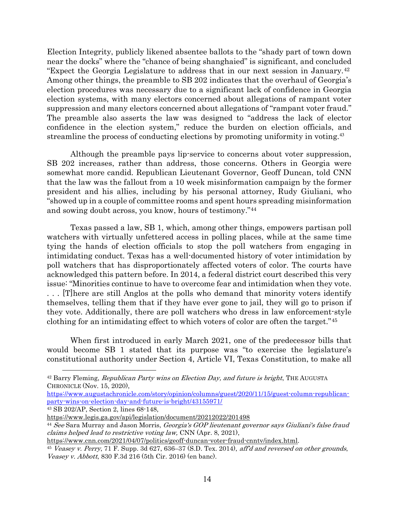Election Integrity, publicly likened absentee ballots to the "shady part of town down near the docks" where the "chance of being shanghaied" is significant, and concluded "Expect the Georgia Legislature to address that in our next session in January.<sup>42</sup> Among other things, the preamble to SB 202 indicates that the overhaul of Georgia's election procedures was necessary due to a significant lack of confidence in Georgia election systems, with many electors concerned about allegations of rampant voter suppression and many electors concerned about allegations of "rampant voter fraud." The preamble also asserts the law was designed to "address the lack of elector confidence in the election system," reduce the burden on election officials, and streamline the process of conducting elections by promoting uniformity in voting.<sup>43</sup>

Although the preamble pays lip-service to concerns about voter suppression, SB 202 increases, rather than address, those concerns. Others in Georgia were somewhat more candid. Republican Lieutenant Governor, Geoff Duncan, told CNN that the law was the fallout from a 10 week misinformation campaign by the former president and his allies, including by his personal attorney, Rudy Giuliani, who "showed up in a couple of committee rooms and spent hours spreading misinformation and sowing doubt across, you know, hours of testimony."<sup>44</sup>

Texas passed a law, SB 1, which, among other things, empowers partisan poll watchers with virtually unfettered access in polling places, while at the same time tying the hands of election officials to stop the poll watchers from engaging in intimidating conduct. Texas has a well-documented history of voter intimidation by poll watchers that has disproportionately affected voters of color. The courts have acknowledged this pattern before. In 2014, a federal district court described this very issue: "Minorities continue to have to overcome fear and intimidation when they vote. . . . [T]here are still Anglos at the polls who demand that minority voters identify themselves, telling them that if they have ever gone to jail, they will go to prison if they vote. Additionally, there are poll watchers who dress in law enforcement-style clothing for an intimidating effect to which voters of color are often the target."<sup>45</sup>

When first introduced in early March 2021, one of the predecessor bills that would become SB 1 stated that its purpose was "to exercise the legislature's constitutional authority under Section 4, Article VI, Texas Constitution, to make all

<sup>43</sup> SB 202/AP, Section 2, lines 68-148,

 $42$  Barry Fleming, *Republican Party wins on Election Day, and future is bright*, THE AUGUSTA CHRONICLE (Nov. 15, 2020),

https://www.augustachronicle.com/story/opinion/columns/guest/2020/11/15/guest-column-republicanparty-wins-on-election-day-and-future-is-bright/43155971/

https://www.legis.ga.gov/api/legislation/document/20212022/201498

<sup>&</sup>lt;sup>44</sup> See Sara Murray and Jason Morris, Georgia's GOP lieutenant governor says Giuliani's false fraud claims helped lead to restrictive voting law, CNN (Apr. 8, 2021),

https://www.cnn.com/2021/04/07/politics/geoff-duncan-voter-fraud-cnntv/index.html.

<sup>45</sup> Veasey v. Perry, 71 F. Supp. 3d 627, 636–37 (S.D. Tex. 2014), aff'd and reversed on other grounds, Veasey v. Abbott, 830 F.3d 216 (5th Cir. 2016) (en banc).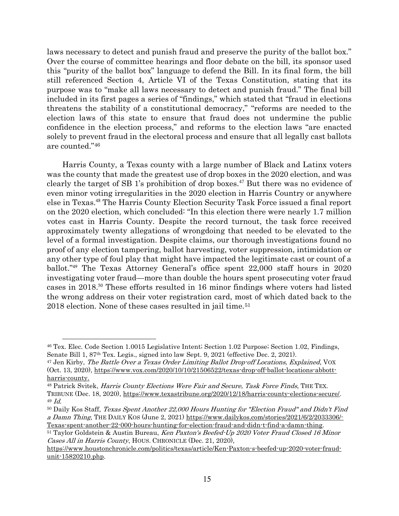laws necessary to detect and punish fraud and preserve the purity of the ballot box." Over the course of committee hearings and floor debate on the bill, its sponsor used this "purity of the ballot box" language to defend the Bill. In its final form, the bill still referenced Section 4, Article VI of the Texas Constitution, stating that its purpose was to "make all laws necessary to detect and punish fraud." The final bill included in its first pages a series of "findings," which stated that "fraud in elections threatens the stability of a constitutional democracy," "reforms are needed to the election laws of this state to ensure that fraud does not undermine the public confidence in the election process," and reforms to the election laws "are enacted solely to prevent fraud in the electoral process and ensure that all legally cast ballots are counted."<sup>46</sup>

Harris County, a Texas county with a large number of Black and Latinx voters was the county that made the greatest use of drop boxes in the 2020 election, and was clearly the target of SB 1's prohibition of drop boxes.<sup>47</sup> But there was no evidence of even minor voting irregularities in the 2020 election in Harris Country or anywhere else in Texas.<sup>48</sup> The Harris County Election Security Task Force issued a final report on the 2020 election, which concluded: "In this election there were nearly 1.7 million votes cast in Harris County. Despite the record turnout, the task force received approximately twenty allegations of wrongdoing that needed to be elevated to the level of a formal investigation. Despite claims, our thorough investigations found no proof of any election tampering, ballot harvesting, voter suppression, intimidation or any other type of foul play that might have impacted the legitimate cast or count of a ballot."<sup>49</sup> The Texas Attorney General's office spent 22,000 staff hours in 2020 investigating voter fraud—more than double the hours spent prosecuting voter fraud cases in 2018.<sup>50</sup> These efforts resulted in 16 minor findings where voters had listed the wrong address on their voter registration card, most of which dated back to the 2018 election. None of these cases resulted in jail time.<sup>51</sup>

<sup>46</sup> Tex. Elec. Code Section 1.0015 Legislative Intent; Section 1.02 Purpose; Section 1.02, Findings, Senate Bill 1, 87th Tex. Legis., signed into law Sept. 9, 2021 (effective Dec. 2, 2021).

<sup>&</sup>lt;sup>47</sup> Jen Kirby, *The Battle Over a Texas Order Limiting Ballot Drop-off Locations, Explained*, VOX (Oct. 13, 2020), https://www.vox.com/2020/10/10/21506522/texas-drop-off-ballot-locations-abbottharris-county.

<sup>&</sup>lt;sup>48</sup> Patrick Svitek, *Harris County Elections Were Fair and Secure, Task Force Finds*, THE TEX. TRIBUNE (Dec. 18, 2020), https://www.texastribune.org/2020/12/18/harris-county-elections-secure/. 49 Id.

<sup>50</sup> Daily Kos Staff, Texas Spent Another 22,000 Hours Hunting for "Election Fraud" and Didn't Find a Damn Thing, THE DAILY KOS (June 2, 2021) https://www.dailykos.com/stories/2021/6/2/2033306/- Texas-spent-another-22-000-hours-hunting-for-election-fraud-and-didn-t-find-a-damn-thing.

<sup>&</sup>lt;sup>51</sup> Taylor Goldstein & Austin Bureau, Ken Paxton's Beefed-Up 2020 Voter Fraud Closed 16 Minor Cases All in Harris County, HOUS. CHRONICLE (Dec. 21, 2020),

https://www.houstonchronicle.com/politics/texas/article/Ken-Paxton-s-beefed-up-2020-voter-fraudunit-15820210.php.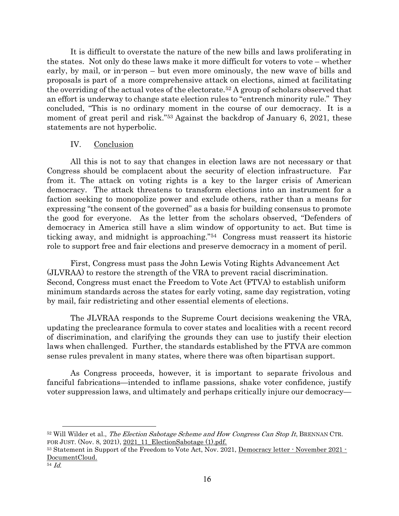It is difficult to overstate the nature of the new bills and laws proliferating in the states. Not only do these laws make it more difficult for voters to vote – whether early, by mail, or in-person – but even more ominously, the new wave of bills and proposals is part of a more comprehensive attack on elections, aimed at facilitating the overriding of the actual votes of the electorate.52 A group of scholars observed that an effort is underway to change state election rules to "entrench minority rule." They concluded, "This is no ordinary moment in the course of our democracy. It is a moment of great peril and risk."<sup>53</sup> Against the backdrop of January 6, 2021, these statements are not hyperbolic.

### IV. Conclusion

All this is not to say that changes in election laws are not necessary or that Congress should be complacent about the security of election infrastructure. Far from it. The attack on voting rights is a key to the larger crisis of American democracy. The attack threatens to transform elections into an instrument for a faction seeking to monopolize power and exclude others, rather than a means for expressing "the consent of the governed" as a basis for building consensus to promote the good for everyone. As the letter from the scholars observed, "Defenders of democracy in America still have a slim window of opportunity to act. But time is ticking away, and midnight is approaching."54 Congress must reassert its historic role to support free and fair elections and preserve democracy in a moment of peril.

First, Congress must pass the John Lewis Voting Rights Advancement Act (JLVRAA) to restore the strength of the VRA to prevent racial discrimination. Second, Congress must enact the Freedom to Vote Act (FTVA) to establish uniform minimum standards across the states for early voting, same day registration, voting by mail, fair redistricting and other essential elements of elections.

The JLVRAA responds to the Supreme Court decisions weakening the VRA, updating the preclearance formula to cover states and localities with a recent record of discrimination, and clarifying the grounds they can use to justify their election laws when challenged. Further, the standards established by the FTVA are common sense rules prevalent in many states, where there was often bipartisan support.

As Congress proceeds, however, it is important to separate frivolous and fanciful fabrications—intended to inflame passions, shake voter confidence, justify voter suppression laws, and ultimately and perhaps critically injure our democracy—

 $52$  Will Wilder et al., *The Election Sabotage Scheme and How Congress Can Stop It*, BRENNAN CTR. FOR JUST. (Nov. 8, 2021), 2021 11 ElectionSabotage  $(1)$ .pdf.

<sup>53</sup> Statement in Support of the Freedom to Vote Act, Nov. 2021, Democracy letter  $\cdot$  November 2021  $\cdot$ DocumentCloud.

<sup>54</sup> Id.